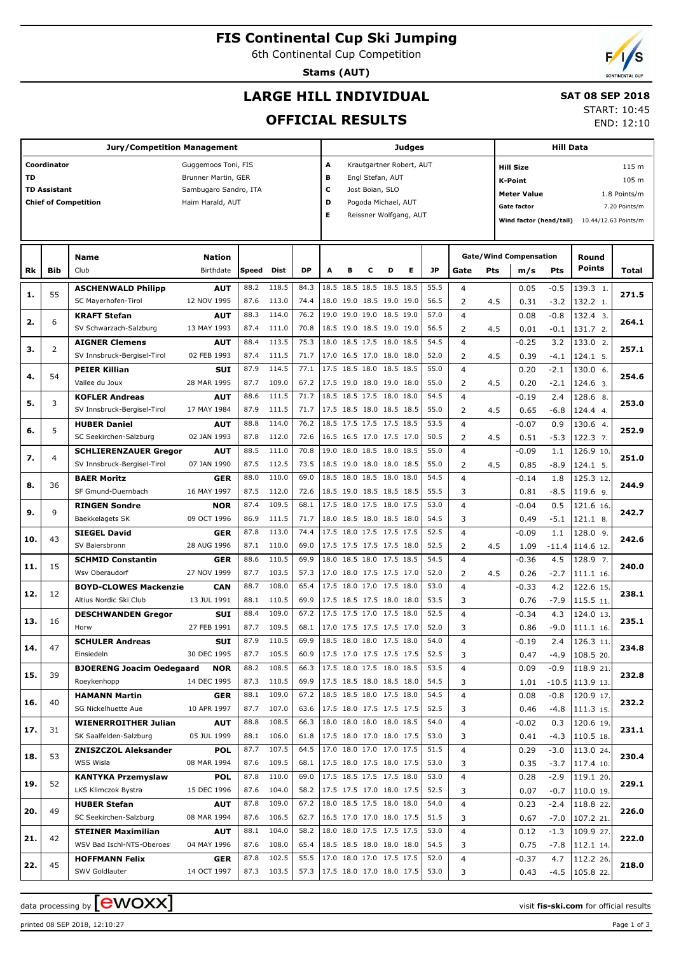## **FIS Continental Cup Ski Jumping**

6th Continental Cup Competition

**Stams (AUT)**

# **LARGE HILL INDIVIDUAL**

#### **SAT 08 SEP 2018** START: 10:45

**OFFICIAL RESULTS**

|     |                                         |                                  | <b>Judges</b>         |       |            |           |                          |                                           |                          |   | <b>Hill Data</b>         |           |                               |     |                           |        |                                              |               |  |
|-----|-----------------------------------------|----------------------------------|-----------------------|-------|------------|-----------|--------------------------|-------------------------------------------|--------------------------|---|--------------------------|-----------|-------------------------------|-----|---------------------------|--------|----------------------------------------------|---------------|--|
|     | Coordinator<br>A<br>Guggemoos Toni, FIS |                                  |                       |       |            |           |                          |                                           |                          |   | Krautgartner Robert, AUT |           |                               |     | 115 m<br><b>Hill Size</b> |        |                                              |               |  |
| TD  | Brunner Martin, GER                     |                                  |                       |       |            |           |                          |                                           | Engl Stefan, AUT         |   |                          |           |                               |     | 105 m<br><b>K-Point</b>   |        |                                              |               |  |
|     | <b>TD Assistant</b>                     |                                  | Sambugaro Sandro, ITA |       |            |           | c                        | Jost Boian, SLO                           |                          |   |                          |           |                               |     | 1.8 Points/m              |        |                                              |               |  |
|     |                                         | <b>Chief of Competition</b>      | Haim Harald, AUT      |       |            |           | D                        | <b>Meter Value</b><br>Pogoda Michael, AUT |                          |   |                          |           |                               |     |                           |        |                                              |               |  |
|     |                                         |                                  |                       |       |            |           | Е                        |                                           |                          |   | Reissner Wolfgang, AUT   |           |                               |     | <b>Gate factor</b>        |        |                                              | 7.20 Points/m |  |
|     |                                         |                                  |                       |       |            |           |                          |                                           |                          |   |                          |           |                               |     |                           |        | Wind factor (head/tail) 10.44/12.63 Points/m |               |  |
|     |                                         |                                  |                       |       |            |           |                          |                                           |                          |   |                          |           |                               |     |                           |        |                                              |               |  |
|     |                                         | Name                             | <b>Nation</b>         |       |            |           |                          |                                           |                          |   |                          |           | <b>Gate/Wind Compensation</b> |     | Round                     |        |                                              |               |  |
| Rk  | Bib                                     | Club                             | Birthdate             | Speed | Dist       | <b>DP</b> | A                        | в                                         | с                        | D | Е                        | <b>JP</b> | Gate                          | Pts | m/s                       | Pts    | <b>Points</b>                                | Total         |  |
|     |                                         |                                  |                       |       |            |           |                          |                                           |                          |   |                          |           |                               |     |                           |        |                                              |               |  |
| 1.  | 55                                      | <b>ASCHENWALD Philipp</b>        | <b>AUT</b>            | 88.2  | 118.5      | 84.3      |                          |                                           | 18.5 18.5 18.5 18.5 18.5 |   |                          | 55.5      | $\overline{4}$                |     | 0.05                      | $-0.5$ | 139.3 1.                                     | 271.5         |  |
|     |                                         | SC Mayerhofen-Tirol              | 12 NOV 1995           | 87.6  | 113.0      | 74.4      |                          |                                           | 18.0 19.0 18.5 19.0 19.0 |   |                          | 56.5      | 2                             | 4.5 | 0.31                      | $-3.2$ | 132.2 1.                                     |               |  |
| 2.  | 6                                       | <b>KRAFT Stefan</b>              | AUT                   | 88.3  | 114.0      | 76.2      |                          |                                           | 19.0 19.0 19.0 18.5 19.0 |   |                          | 57.0      | $\overline{4}$                |     | 0.08                      | $-0.8$ | 132.4 3.                                     | 264.1         |  |
|     |                                         | SV Schwarzach-Salzburg           | 13 MAY 1993           | 87.4  | 111.0      | 70.8      |                          |                                           | 18.5 19.0 18.5 19.0 19.0 |   |                          | 56.5      | 2                             | 4.5 | 0.01                      | $-0.1$ | 131.7 2.                                     |               |  |
| з.  | 2                                       | <b>AIGNER Clemens</b>            | AUT                   | 88.4  | 113.5      | 75.3      |                          |                                           | 18.0 18.5 17.5 18.0 18.5 |   |                          | 54.5      | $\overline{4}$                |     | $-0.25$                   | 3.2    | 133.0 2.                                     | 257.1         |  |
|     |                                         | SV Innsbruck-Bergisel-Tirol      | 02 FEB 1993           | 87.4  | 111.5      | 71.7      |                          |                                           | 17.0 16.5 17.0 18.0 18.0 |   |                          | 52.0      | 2                             | 4.5 | 0.39                      | $-4.1$ | 124.1 5.                                     |               |  |
| 4.  | 54                                      | <b>PEIER Killian</b>             | <b>SUI</b>            | 87.9  | 114.5      | 77.1      |                          |                                           | 17.5 18.5 18.0 18.5 18.5 |   |                          | 55.0      | 4                             |     | 0.20                      | $-2.1$ | 130.0 6.                                     | 254.6         |  |
|     |                                         | Vallee du Joux                   | 28 MAR 1995           | 87.7  | 109.0      | 67.2      |                          |                                           | 17.5 19.0 18.0 19.0 18.0 |   |                          | 55.0      | 2                             | 4.5 | 0.20                      | $-2.1$ | 124.6 3.                                     |               |  |
| 5.  | 3                                       | <b>KOFLER Andreas</b>            | <b>AUT</b>            | 88.6  | 111.5      | 71.7      |                          |                                           | 18.5 18.5 17.5 18.0 18.0 |   |                          | 54.5      | $\overline{4}$                |     | $-0.19$                   | 2.4    | 128.6 8.                                     | 253.0         |  |
|     |                                         | SV Innsbruck-Bergisel-Tirol      | 17 MAY 1984           | 87.9  | 111.5      | 71.7      |                          |                                           | 17.5 18.5 18.0 18.5 18.5 |   |                          | 55.0      | 2                             | 4.5 | 0.65                      | -6.8   | 124.4 4.                                     |               |  |
| 6.  | 5                                       | <b>HUBER Daniel</b>              | AUT                   | 88.8  | 114.0      | 76.2      |                          |                                           | 18.5 17.5 17.5 17.5 18.5 |   |                          | 53.5      | 4                             |     | $-0.07$                   | 0.9    | 130.6 4.                                     | 252.9         |  |
|     |                                         | SC Seekirchen-Salzburg           | 02 JAN 1993           | 87.8  | 112.0      | 72.6      |                          |                                           | 16.5 16.5 17.0 17.5 17.0 |   |                          | 50.5      | 2                             | 4.5 | 0.51                      | $-5.3$ | 122.3 7.                                     |               |  |
| 7.  | 4                                       | <b>SCHLIERENZAUER Gregor</b>     | AUT                   | 88.5  | 111.0      | 70.8      |                          |                                           | 19.0 18.0 18.5 18.0 18.5 |   |                          | 55.0      | $\overline{4}$                |     | $-0.09$                   | 1.1    | 126.9 10.                                    | 251.0         |  |
|     |                                         | SV Innsbruck-Bergisel-Tirol      | 07 JAN 1990           | 87.5  | 112.5      | 73.5      |                          |                                           | 18.5 19.0 18.0 18.0 18.5 |   |                          | 55.0      | 2                             | 4.5 | 0.85                      | -8.9   | 124.1 5.                                     |               |  |
|     | 36                                      | <b>BAER Moritz</b>               | <b>GER</b>            | 88.0  | 110.0      | 69.0      |                          |                                           | 18.5 18.0 18.5 18.0 18.0 |   |                          | 54.5      | 4                             |     | $-0.14$                   | 1.8    | 125.3 12.                                    | 244.9         |  |
| 8.  |                                         | SF Gmund-Duernbach               | 16 MAY 1997           | 87.5  | 112.0      | 72.6      |                          |                                           | 18.5 19.0 18.5 18.5 18.5 |   |                          | 55.5      | 3                             |     | 0.81                      | $-8.5$ | 119.6 9.                                     |               |  |
|     |                                         | <b>RINGEN Sondre</b>             | <b>NOR</b>            | 87.4  | 109.5      | 68.1      |                          |                                           | 17.5 18.0 17.5 18.0 17.5 |   |                          | 53.0      | 4                             |     | $-0.04$                   | 0.5    | 121.6 16.                                    |               |  |
| 9.  | 9                                       | Baekkelagets SK                  | 09 OCT 1996           | 86.9  | 111.5      | 71.7      |                          |                                           | 18.0 18.5 18.0 18.5 18.0 |   |                          | 54.5      | 3                             |     | 0.49                      | $-5.1$ | 121.1 8.                                     | 242.7         |  |
|     |                                         | <b>SIEGEL David</b>              | <b>GER</b>            | 87.8  | 113.0      | 74.4      |                          |                                           | 17.5 18.0 17.5 17.5 17.5 |   |                          | 52.5      | 4                             |     | $-0.09$                   | 1.1    | $128.0$ 9.                                   |               |  |
| 10. | 43                                      | SV Baiersbronn                   | 28 AUG 1996           | 87.1  | 110.0      | 69.0      |                          |                                           | 17.5 17.5 17.5 17.5 18.0 |   |                          | 52.5      | 2                             | 4.5 | 1.09                      | -11.4  | 114.6 12.                                    | 242.6         |  |
|     |                                         | <b>SCHMID Constantin</b>         | <b>GER</b>            | 88.6  | 110.5      | 69.9      |                          |                                           | 18.0 18.5 18.0 17.5 18.5 |   |                          | 54.5      | 4                             |     | $-0.36$                   | 4.5    | 128.9 7.                                     |               |  |
| 11. | 15                                      | Wsv Oberaudorf                   | 27 NOV 1999           | 87.7  | 103.5      | 57.3      |                          |                                           | 17.0 18.0 17.5 17.5 17.0 |   |                          | 52.0      | 2                             | 4.5 | 0.26                      | $-2.7$ | 111.1 16.                                    | 240.0         |  |
|     |                                         | <b>BOYD-CLOWES Mackenzie</b>     | CAN                   | 88.7  | 108.0      | 65.4      |                          |                                           | 17.5 18.0 17.0 17.5 18.0 |   |                          | 53.0      | 4                             |     | $-0.33$                   | 4.2    | 122.6 15.                                    |               |  |
| 12. | 12                                      | Altius Nordic Ski Club           | 13 JUL 1991           | 88.1  | 110.5      | 69.9      |                          |                                           | 17.5 18.5 17.5 18.0 18.0 |   |                          | 53.5      | 3                             |     | 0.76                      | $-7.9$ | 115.5 11.                                    | 238.1         |  |
|     |                                         | <b>DESCHWANDEN Gregor</b>        | SUI                   | 88.4  | 109.0      | 67.2      |                          |                                           | 17.5 17.5 17.0 17.5 18.0 |   |                          | 52.5      | 4                             |     | $-0.34$                   | 4.3    | 124.0 13.                                    |               |  |
| 13. | 16                                      | Horw                             | 27 FEB 1991           | 87.7  | 109.5      | 68.1      |                          |                                           | 17.0 17.5 17.5 17.5 17.0 |   |                          | 52.0      | 3                             |     | 0.86                      | $-9.0$ | 111.1 16.                                    | 235.1         |  |
|     |                                         | <b>SCHULER Andreas</b>           | SUI                   | 87.9  | 110.5      | 69.9      |                          |                                           | 18.5 18.0 18.0 17.5 18.0 |   |                          | 54.0      | 4                             |     | $-0.19$                   | 2.4    | 126.3 11.                                    |               |  |
| 14. | 47                                      | Einsiedeln                       | 30 DEC 1995           | 87.7  | 105.5      | 60.9      |                          |                                           |                          |   | 17.5 17.0 17.5 17.5 17.5 | 52.5      | 3                             |     | 0.47                      | -4.9   | 108.520.                                     | 234.8         |  |
|     |                                         | <b>BJOERENG Joacim Oedegaard</b> | NOR                   | 88.2  | 108.5      | 66.3      |                          |                                           | 17.5 18.0 17.5 18.0 18.5 |   |                          | 53.5      | 4                             |     | 0.09                      | $-0.9$ | 118.9 21.                                    |               |  |
| 15. | 39                                      | Roeykenhopp                      | 14 DEC 1995           |       | 87.3 110.5 | 69.9      |                          |                                           | 17.5 18.5 18.0 18.5 18.0 |   |                          | 54.5      | 3                             |     | 1.01                      |        | $-10.5$   113.9 13.                          | 232.8         |  |
|     |                                         | <b>HAMANN Martin</b>             | GER                   | 88.1  | 109.0      | 67.2      |                          |                                           | 18.5 18.5 18.0 17.5 18.0 |   |                          | 54.5      | 4                             |     | 0.08                      | $-0.8$ | 120.9 17.                                    |               |  |
| 16. | 40                                      | SG Nickelhuette Aue              | 10 APR 1997           | 87.7  | 107.0      | 63.6      |                          |                                           | 17.5 18.0 17.5 17.5 17.5 |   |                          | 52.5      | 3                             |     | 0.46                      |        | $-4.8$   111.3 15.                           | 232.2         |  |
|     |                                         | <b>WIENERROITHER Julian</b>      | AUT                   | 88.8  | 108.5      | 66.3      |                          |                                           | 18.0 18.0 18.0 18.0 18.5 |   |                          | 54.0      | 4                             |     | $-0.02$                   | 0.3    | 120.6 19.                                    |               |  |
| 17. | 31                                      | SK Saalfelden-Salzburg           | 05 JUL 1999           |       | 88.1 106.0 | 61.8      |                          |                                           | 17.5 18.0 17.0 18.0 17.5 |   |                          | 53.0      | 3                             |     | 0.41                      | $-4.3$ | $110.5$ 18.                                  | 231.1         |  |
|     |                                         | <b>ZNISZCZOL Aleksander</b>      | <b>POL</b>            | 87.7  | 107.5      | 64.5      |                          |                                           | 17.0 18.0 17.0 17.0 17.5 |   |                          | 51.5      | 4                             |     | 0.29                      | $-3.0$ | 113.0 24.                                    |               |  |
| 18. | 53                                      | WSS Wisla                        | 08 MAR 1994           | 87.6  | 109.5      | 68.1      |                          |                                           | 17.5 18.0 17.5 18.0 17.5 |   |                          | 53.0      | 3                             |     | 0.35                      | $-3.7$ | $117.4$ 10.                                  | 230.4         |  |
|     |                                         | <b>KANTYKA Przemyslaw</b>        | POL                   | 87.8  | 110.0      | 69.0      |                          |                                           | 17.5 18.5 17.5 17.5 18.0 |   |                          | 53.0      | 4                             |     | 0.28                      | $-2.9$ | 119.1 20.                                    |               |  |
| 19. | 52                                      | LKS Klimczok Bystra              | 15 DEC 1996           | 87.6  | 104.0      | 58.2      |                          |                                           | 17.5 17.5 17.0 18.0 17.5 |   |                          | 52.5      | 3                             |     | 0.07                      | $-0.7$ | 110.0 19.                                    | 229.1         |  |
|     |                                         | <b>HUBER Stefan</b>              | AUT                   | 87.8  | 109.0      | 67.2      |                          |                                           | 18.0 18.5 17.5 18.0 18.0 |   |                          | 54.0      | 4                             |     | 0.23                      | $-2.4$ | 118.8 22.                                    |               |  |
| 20. | 49                                      | SC Seekirchen-Salzburg           | 08 MAR 1994           |       | 87.6 106.5 | 62.7      |                          |                                           | 16.5 17.0 17.0 18.0 17.5 |   |                          | 51.5      | 3                             |     | 0.67                      | $-7.0$ | 107.2 21.                                    | 226.0         |  |
|     |                                         | <b>STEINER Maximilian</b>        | AUT                   | 88.1  | 104.0      | 58.2      |                          |                                           | 18.0 18.0 17.5 17.5 17.5 |   |                          | 53.0      | 4                             |     | 0.12                      | $-1.3$ | 109.9 27.                                    |               |  |
| 21. | 42                                      | WSV Bad Ischl-NTS-Oberoes        | 04 MAY 1996           | 87.6  | 108.0      | 65.4      |                          |                                           | 18.5 18.5 18.0 18.0 18.0 |   |                          | 54.5      | 3                             |     | 0.75                      | $-7.8$ | 112.114.                                     | 222.0         |  |
|     |                                         | <b>HOFFMANN Felix</b>            | GER                   | 87.8  | 102.5      | 55.5      |                          |                                           | 17.0 18.0 17.0 17.5 17.5 |   |                          | 52.0      | 4                             |     | $-0.37$                   | 4.7    | 112.2 26.                                    |               |  |
| 22. | 45                                      | SWV Goldlauter                   | 14 OCT 1997           |       | 87.3 103.5 | 57.3      | 17.5 18.0 17.0 18.0 17.5 |                                           |                          |   |                          | 53.0      | 3                             |     | 0.43                      |        | $-4.5$   105.8 22.                           | 218.0         |  |
|     |                                         |                                  |                       |       |            |           |                          |                                           |                          |   |                          |           |                               |     |                           |        |                                              |               |  |

data processing by **CWOXX**  $\blacksquare$ 

printed 08 SEP 2018, 12:10:27 Page 1 of 3



END: 12:10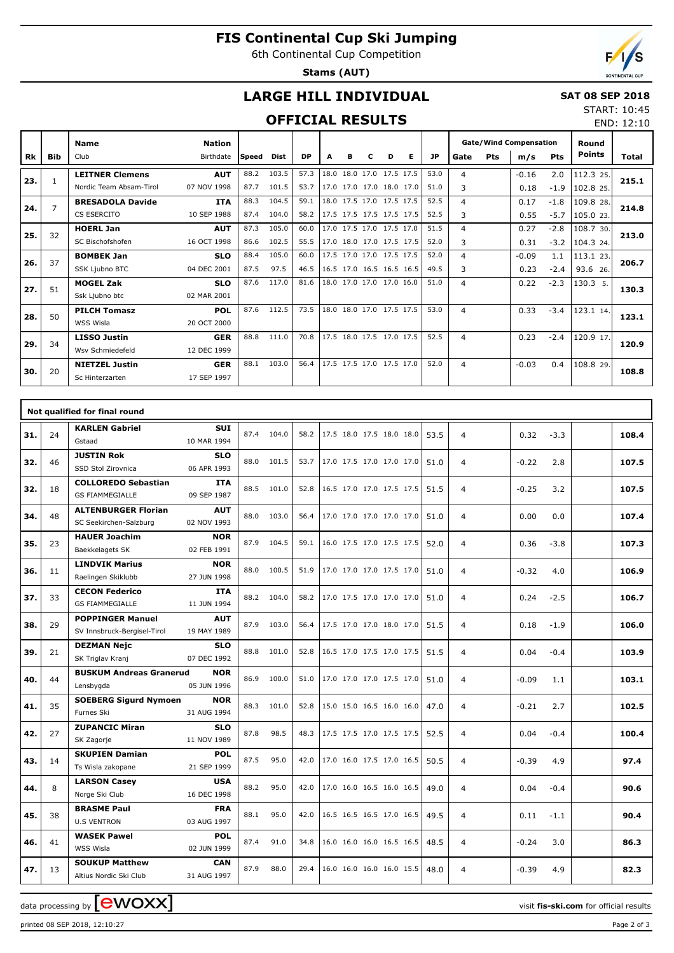# **FIS Continental Cup Ski Jumping**

6th Continental Cup Competition

**Stams (AUT)**



### **LARGE HILL INDIVIDUAL**

#### **SAT 08 SEP 2018** START: 10:45

### **OFFICIAL RESULTS**

|           | <b>OFFICIAL RESULTS</b> |                         |               |       |             |           |   |                          |   |   |   |           |                |            |                               |            | END: 12:10    |       |
|-----------|-------------------------|-------------------------|---------------|-------|-------------|-----------|---|--------------------------|---|---|---|-----------|----------------|------------|-------------------------------|------------|---------------|-------|
|           |                         | <b>Name</b>             | <b>Nation</b> |       |             |           |   |                          |   |   |   |           |                |            | <b>Gate/Wind Compensation</b> | Round      |               |       |
| <b>Rk</b> | <b>Bib</b>              | Club                    | Birthdate     | Speed | <b>Dist</b> | <b>DP</b> | A | в                        | c | D | Е | <b>JP</b> | Gate           | <b>Pts</b> | m/s                           | <b>Pts</b> | <b>Points</b> | Total |
|           |                         | <b>LEITNER Clemens</b>  | <b>AUT</b>    | 88.2  | 103.5       | 57.3      |   | 18.0 18.0 17.0 17.5 17.5 |   |   |   | 53.0      | 4              |            | $-0.16$                       | 2.0        | 112.3 25.     |       |
| 23.       | 1                       | Nordic Team Absam-Tirol | 07 NOV 1998   | 87.7  | 101.5       | 53.7      |   | 17.0 17.0 17.0 18.0 17.0 |   |   |   | 51.0      | 3              |            | 0.18                          | $-1.9$     | 102.8 25.     | 215.1 |
|           | 7                       | <b>BRESADOLA Davide</b> | <b>ITA</b>    | 88.3  | 104.5       | 59.1      |   | 18.0 17.5 17.0 17.5 17.5 |   |   |   | 52.5      | 4              |            | 0.17                          | $-1.8$     | 109.8 28.     | 214.8 |
| 24.       |                         | CS ESERCITO             | 10 SEP 1988   | 87.4  | 104.0       | 58.2      |   | 17.5 17.5 17.5 17.5 17.5 |   |   |   | 52.5      | 3              |            | 0.55                          | $-5.7$     | 105.0 23.     |       |
| 25.       | 32                      | <b>HOERL Jan</b>        | <b>AUT</b>    | 87.3  | 105.0       | 60.0      |   | 17.0 17.5 17.0 17.5 17.0 |   |   |   | 51.5      | $\overline{4}$ |            | 0.27                          | $-2.8$     | 108.7 30.     | 213.0 |
|           |                         | SC Bischofshofen        | 16 OCT 1998   | 86.6  | 102.5       | 55.5      |   | 17.0 18.0 17.0 17.5 17.5 |   |   |   | 52.0      | 3              |            | 0.31                          | $-3.2$     | 104.3 24.     |       |
| 26.       | 37                      | <b>BOMBEK Jan</b>       | <b>SLO</b>    | 88.4  | 105.0       | 60.0      |   | 17.5 17.0 17.0 17.5 17.5 |   |   |   | 52.0      | $\overline{4}$ |            | $-0.09$                       | 1.1        | 113.1 23.     | 206.7 |
|           |                         | SSK Ljubno BTC          | 04 DEC 2001   | 87.5  | 97.5        | 46.5      |   | 16.5 17.0 16.5 16.5 16.5 |   |   |   | 49.5      | 3              |            | 0.23                          | $-2.4$     | 93.6 26.      |       |
| 27.       | 51                      | <b>MOGEL Zak</b>        | <b>SLO</b>    | 87.6  | 117.0       | 81.6      |   | 18.0 17.0 17.0 17.0 16.0 |   |   |   | 51.0      | 4              |            | 0.22                          | $-2.3$     | 130.3 5.      | 130.3 |
|           |                         | Ssk Ljubno btc          | 02 MAR 2001   |       |             |           |   |                          |   |   |   |           |                |            |                               |            |               |       |
| 28.       | 50                      | <b>PILCH Tomasz</b>     | <b>POL</b>    | 87.6  | 112.5       | 73.5      |   | 18.0 18.0 17.0 17.5 17.5 |   |   |   | 53.0      | $\overline{4}$ |            | 0.33                          | $-3.4$     | 123.1 14.     | 123.1 |
|           |                         | WSS Wisla               | 20 OCT 2000   |       |             |           |   |                          |   |   |   |           |                |            |                               |            |               |       |
| 29.       | 34                      | <b>LISSO Justin</b>     | <b>GER</b>    | 88.8  | 111.0       | 70.8      |   | 17.5 18.0 17.5 17.0 17.5 |   |   |   | 52.5      | 4              |            | 0.23                          | $-2.4$     | 120.9 17.     | 120.9 |
|           |                         | Wsv Schmiedefeld        | 12 DEC 1999   |       |             |           |   |                          |   |   |   |           |                |            |                               |            |               |       |
| 30.       | 20                      | <b>NIETZEL Justin</b>   | <b>GER</b>    | 88.1  | 103.0       | 56.4      |   | 17.5 17.5 17.0 17.5 17.0 |   |   |   | 52.0      | 4              |            | $-0.03$                       | 0.4        | 108.8 29.     | 108.8 |
|           |                         | Sc Hinterzarten         | 17 SEP 1997   |       |             |           |   |                          |   |   |   |           |                |            |                               |            |               |       |

|     |    | Not qualified for final round              |             |      |            |      |                          |  |      |                |         |        |       |
|-----|----|--------------------------------------------|-------------|------|------------|------|--------------------------|--|------|----------------|---------|--------|-------|
| 31. | 24 | <b>KARLEN Gabriel</b>                      | <b>SUI</b>  | 87.4 | 104.0      | 58.2 | 17.5 18.0 17.5 18.0 18.0 |  | 53.5 | $\overline{4}$ | 0.32    | $-3.3$ | 108.4 |
|     |    | Gstaad                                     | 10 MAR 1994 |      |            |      |                          |  |      |                |         |        |       |
| 32. | 46 | <b>JUSTIN Rok</b>                          | <b>SLO</b>  |      | 88.0 101.5 | 53.7 | 17.0 17.5 17.0 17.0 17.0 |  | 51.0 | $\overline{4}$ | $-0.22$ | 2.8    | 107.5 |
|     |    | SSD Stol Zirovnica                         | 06 APR 1993 |      |            |      |                          |  |      |                |         |        |       |
| 32. | 18 | <b>COLLOREDO Sebastian</b>                 | <b>ITA</b>  | 88.5 | 101.0      | 52.8 | 16.5 17.0 17.0 17.5 17.5 |  | 51.5 | $\overline{4}$ | $-0.25$ | 3.2    | 107.5 |
|     |    | <b>GS FIAMMEGIALLE</b>                     | 09 SEP 1987 |      |            |      |                          |  |      |                |         |        |       |
| 34. | 48 | <b>ALTENBURGER Florian</b>                 | <b>AUT</b>  |      | 88.0 103.0 | 56.4 | 17.0 17.0 17.0 17.0 17.0 |  | 51.0 | $\overline{4}$ | 0.00    | 0.0    | 107.4 |
|     |    | SC Seekirchen-Salzburg                     | 02 NOV 1993 |      |            |      |                          |  |      |                |         |        |       |
| 35. | 23 | <b>HAUER Joachim</b>                       | <b>NOR</b>  |      | 87.9 104.5 | 59.1 | 16.0 17.5 17.0 17.5 17.5 |  | 52.0 | $\overline{4}$ | 0.36    | $-3.8$ | 107.3 |
|     |    | Baekkelagets SK                            | 02 FEB 1991 |      |            |      |                          |  |      |                |         |        |       |
| 36. | 11 | <b>LINDVIK Marius</b>                      | <b>NOR</b>  |      | 88.0 100.5 | 51.9 | 17.0 17.0 17.0 17.5 17.0 |  | 51.0 | $\overline{4}$ | $-0.32$ | 4.0    | 106.9 |
|     |    | Raelingen Skiklubb                         | 27 JUN 1998 |      |            |      |                          |  |      |                |         |        |       |
| 37. | 33 | <b>CECON Federico</b>                      | <b>ITA</b>  |      | 88.2 104.0 | 58.2 | 17.0 17.5 17.0 17.0 17.0 |  | 51.0 | $\overline{4}$ | 0.24    | $-2.5$ | 106.7 |
|     |    | <b>GS FIAMMEGIALLE</b>                     | 11 JUN 1994 |      |            |      |                          |  |      |                |         |        |       |
| 38. | 29 | <b>POPPINGER Manuel</b>                    | <b>AUT</b>  | 87.9 | 103.0      | 56.4 | 17.5 17.0 17.0 18.0 17.0 |  | 51.5 | $\overline{4}$ | 0.18    | $-1.9$ | 106.0 |
|     |    | SV Innsbruck-Bergisel-Tirol                | 19 MAY 1989 |      |            |      |                          |  |      |                |         |        |       |
| 39. | 21 | <b>DEZMAN Nejc</b>                         | <b>SLO</b>  | 88.8 | 101.0      | 52.8 | 16.5 17.0 17.5 17.0 17.5 |  | 51.5 | 4              | 0.04    | $-0.4$ | 103.9 |
|     |    | SK Triglav Kranj                           | 07 DEC 1992 |      |            |      |                          |  |      |                |         |        |       |
| 40. | 44 | <b>BUSKUM Andreas Granerud</b>             | <b>NOR</b>  |      | 86.9 100.0 | 51.0 | 17.0 17.0 17.0 17.5 17.0 |  | 51.0 | 4              | $-0.09$ | 1.1    | 103.1 |
|     |    | Lensbygda                                  | 05 JUN 1996 |      |            |      |                          |  |      |                |         |        |       |
| 41. | 35 | <b>SOEBERG Sigurd Nymoen</b><br><b>NOR</b> |             |      | 88.3 101.0 | 52.8 | 15.0 15.0 16.5 16.0 16.0 |  | 47.0 | $\overline{4}$ | $-0.21$ | 2.7    | 102.5 |
|     |    | Furnes Ski                                 | 31 AUG 1994 |      |            |      |                          |  |      |                |         |        |       |
| 42. | 27 | <b>ZUPANCIC Miran</b>                      | <b>SLO</b>  | 87.8 | 98.5       | 48.3 | 17.5 17.5 17.0 17.5 17.5 |  | 52.5 | $\overline{4}$ | 0.04    | $-0.4$ | 100.4 |
|     |    | SK Zagorje                                 | 11 NOV 1989 |      |            |      |                          |  |      |                |         |        |       |
| 43. | 14 | <b>SKUPIEN Damian</b>                      | <b>POL</b>  | 87.5 | 95.0       | 42.0 | 17.0 16.0 17.5 17.0 16.5 |  | 50.5 | 4              | $-0.39$ | 4.9    | 97.4  |
|     |    | Ts Wisla zakopane                          | 21 SEP 1999 |      |            |      |                          |  |      |                |         |        |       |
| 44. | 8  | <b>LARSON Casey</b>                        | <b>USA</b>  | 88.2 | 95.0       | 42.0 | 17.0 16.0 16.5 16.0 16.5 |  | 49.0 | 4              | 0.04    | $-0.4$ | 90.6  |
|     |    | Norge Ski Club                             | 16 DEC 1998 |      |            |      |                          |  |      |                |         |        |       |
| 45. | 38 | <b>BRASME Paul</b>                         | <b>FRA</b>  | 88.1 | 95.0       | 42.0 | 16.5 16.5 16.5 17.0 16.5 |  | 49.5 | $\overline{4}$ | 0.11    | $-1.1$ | 90.4  |
|     |    | <b>U.S VENTRON</b>                         | 03 AUG 1997 |      |            |      |                          |  |      |                |         |        |       |
| 46. | 41 | <b>WASEK Pawel</b>                         | <b>POL</b>  | 87.4 | 91.0       | 34.8 | 16.0 16.0 16.0 16.5 16.5 |  | 48.5 | 4              | $-0.24$ | 3.0    | 86.3  |
|     |    | WSS Wisla                                  | 02 JUN 1999 |      |            |      |                          |  |      |                |         |        |       |
| 47. | 13 | <b>SOUKUP Matthew</b>                      | <b>CAN</b>  | 87.9 | 88.0       | 29.4 | 16.0 16.0 16.0 16.0 15.5 |  | 48.0 | 4              | $-0.39$ | 4.9    | 82.3  |
|     |    | Altius Nordic Ski Club                     | 31 AUG 1997 |      |            |      |                          |  |      |                |         |        |       |

data processing by **CWOXX**  $\blacksquare$